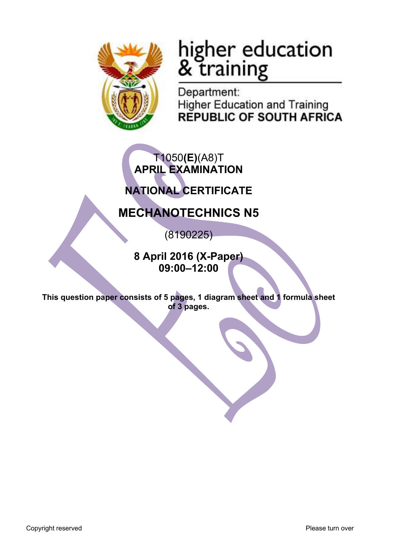

# higher education<br>& training

Department: **Higher Education and Training REPUBLIC OF SOUTH AFRICA** 

## T1050**(E)**(A8)T **APRIL EXAMINATION**

## **NATIONAL CERTIFICATE**

## **MECHANOTECHNICS N5**

(8190225)

**8 April 2016 (X-Paper) 09:00–12:00**

**This question paper consists of 5 pages, 1 diagram sheet and 1 formula sheet of 3 pages.**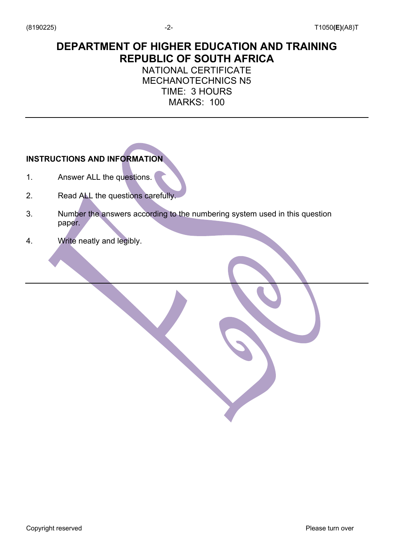### **DEPARTMENT OF HIGHER EDUCATION AND TRAINING REPUBLIC OF SOUTH AFRICA**

#### NATIONAL CERTIFICATE MECHANOTECHNICS N5 TIME: 3 HOURS MARKS: 100

#### **INSTRUCTIONS AND INFORMATION**

- 1. Answer ALL the questions.
- 2. Read ALL the questions carefully.
- 3. Number the answers according to the numbering system used in this question paper.
- 4. Write neatly and legibly.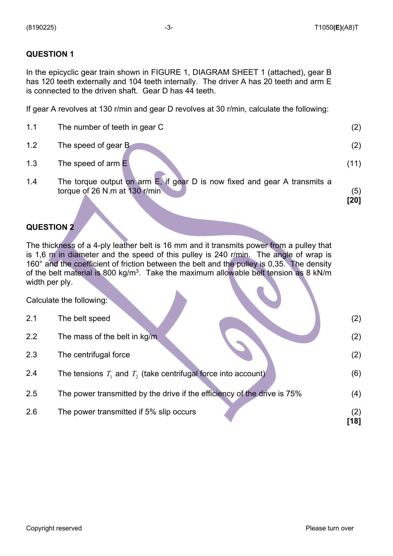#### **QUESTION 1**

In the epicyclic gear train shown in FIGURE 1, DIAGRAM SHEET 1 (attached), gear B has 120 teeth externally and 104 teeth internally. The driver A has 20 teeth and arm E is connected to the driven shaft. Gear D has 44 teeth.

If gear A revolves at 130 r/min and gear D revolves at 30 r/min, calculate the following:

- 1.1 The number of teeth in gear C (2) 1.2 The speed of gear B (2)
- 1.3 The speed of arm E (11)
- 1.4 The torque output on arm E, if gear D is now fixed and gear A transmits a torque of  $26$  N.m at  $130$  r/min (5)
	- **[20]**

#### **QUESTION 2**

The thickness of a 4-ply leather belt is 16 mm and it transmits power from a pulley that is 1,6 m in diameter and the speed of this pulley is 240 r/min. The angle of wrap is 160° and the coefficient of friction between the belt and the pulley is 0,35. The density of the belt material is 800 kg/m<sup>3</sup>. Take the maximum allowable belt tension as 8 kN/m width per ply.

Calculate the following:

| 2.1 | The belt speed                                                           | (2)         |
|-----|--------------------------------------------------------------------------|-------------|
| 2.2 | The mass of the belt in kg/m                                             | (2)         |
| 2.3 | The centrifugal force                                                    | (2)         |
| 2.4 | The tensions $T_1$ and $T_2$ (take centrifugal force into account)       | (6)         |
| 2.5 | The power transmitted by the drive if the efficiency of the drive is 75% | (4)         |
| 2.6 | The power transmitted if 5% slip occurs                                  | (2)<br>[18] |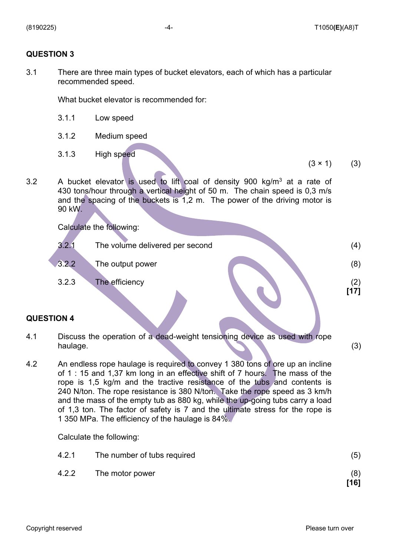#### **QUESTION 3**

3.1 There are three main types of bucket elevators, each of which has a particular recommended speed.

What bucket elevator is recommended for:

- 3.1.1 Low speed
- 3.1.2 Medium speed
- 3.1.3 High speed

 $(3 \times 1)$  (3)

3.2 A bucket elevator is used to lift coal of density 900 kg/m3 at a rate of 430 tons/hour through a vertical height of 50 m. The chain speed is 0,3 m/s and the spacing of the buckets is 1,2 m. The power of the driving motor is 90 kW.

Calculate the following:

| 3.2.1 | The volume delivered per second |  |
|-------|---------------------------------|--|
| 3.2.2 | The output power                |  |
| 3.2.3 | The efficiency                  |  |

#### **QUESTION 4**

- 4.1 Discuss the operation of a dead-weight tensioning device as used with rope haulage. (3)
- 4.2 An endless rope haulage is required to convey 1 380 tons of ore up an incline of 1 : 15 and 1,37 km long in an effective shift of 7 hours. The mass of the rope is 1,5 kg/m and the tractive resistance of the tubs and contents is 240 N/ton. The rope resistance is 380 N/ton. Take the rope speed as 3 km/h and the mass of the empty tub as 880 kg, while the up-going tubs carry a load of 1,3 ton. The factor of safety is 7 and the ultimate stress for the rope is 1 350 MPa. The efficiency of the haulage is 84%.

Calculate the following:

| 4.2.1 | The number of tubs required | (5)         |
|-------|-----------------------------|-------------|
|       | 4.2.2 The motor power       | (8)<br>[16] |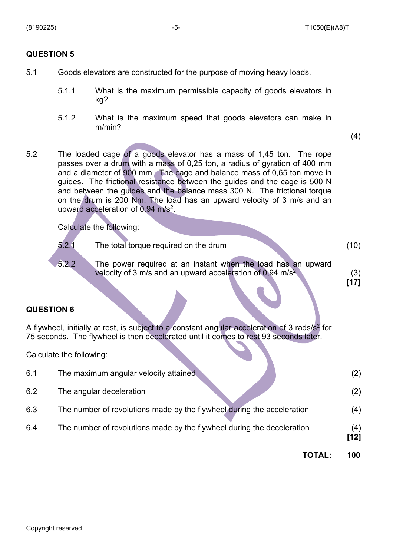#### **QUESTION 5**

- 5.1 Goods elevators are constructed for the purpose of moving heavy loads.
	- 5.1.1 What is the maximum permissible capacity of goods elevators in kg?
	- 5.1.2 What is the maximum speed that goods elevators can make in m/min?

(4)

5.2 The loaded cage of a goods elevator has a mass of 1,45 ton. The rope passes over a drum with a mass of 0,25 ton, a radius of gyration of 400 mm and a diameter of 900 mm. The cage and balance mass of 0,65 ton move in guides. The frictional resistance between the guides and the cage is 500 N and between the guides and the balance mass 300 N. The frictional torque on the drum is 200 Nm. The load has an upward velocity of 3 m/s and an upward acceleration of  $0.94 \text{ m/s}^2$ .

Calculate the following:

| 5.2.1 | The total torque required on the drum                                                                                                 | (10) |
|-------|---------------------------------------------------------------------------------------------------------------------------------------|------|
| 5.2.2 | The power required at an instant when the load has an upward<br>velocity of 3 m/s and an upward acceleration of 0,94 m/s <sup>2</sup> |      |

**[17]**

#### **QUESTION 6**

A flywheel, initially at rest, is subject to a constant angular acceleration of 3 rads/s<sup>2</sup> for 75 seconds. The flywheel is then decelerated until it comes to rest 93 seconds later.

Calculate the following:

| 6.1 | The maximum angular velocity attained                                  | (2)           |
|-----|------------------------------------------------------------------------|---------------|
| 6.2 | The angular deceleration                                               | (2)           |
| 6.3 | The number of revolutions made by the flywheel during the acceleration | (4)           |
| 6.4 | The number of revolutions made by the flywheel during the deceleration | (4)<br>$[12]$ |
|     | TOTAL:                                                                 | 100           |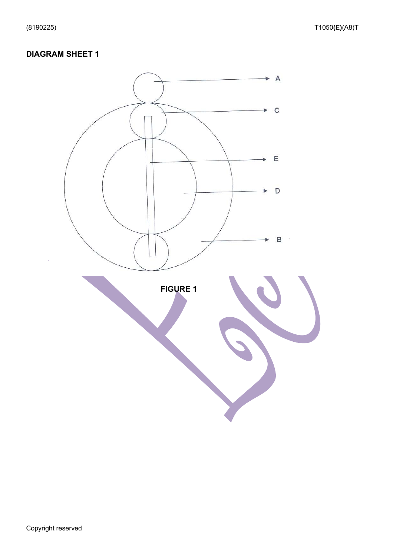#### **DIAGRAM SHEET 1**

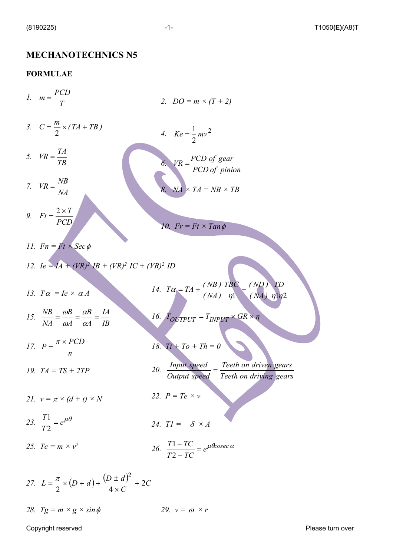#### **MECHANOTECHNICS N5**

#### **FORMULAE**

*1.*  3.  $C = \frac{m}{2} \times (TA + TB)$ *5. 7. 9. 2. DO = m × (T + 2)* 4.  $Ke = \frac{1}{2}mv^2$ *6.*   $NA \times TA = NB \times TB$ 10.  $Fr = Ft \times Tan \phi$ *11.*  $Fn = Ft \times \text{Sec } \phi$ *12. Ie =*  $IA + (VR)^2 IB + (VR)^2 IC + (VR)^2 ID$ *13.*  $T\alpha = Ie \times \alpha A$ *15. 17. 19. TA = TS + 2TP* 21.  $v = \pi \times (d + t) \times N$ 23.  $\frac{11}{\pi}$  =  $e^{\mu\theta}$ 25.  $T_c = m \times v^2$ 14.  $T\alpha = TA + \frac{(ND)}{(NA)}$ *16.*  $T_{OUTPUT} = T_{INPUT} \times GR \times \eta$ *18. Ti + To + Th = 0 20. 22. P = Te × v* 24.  $TI = \delta \times A$ 26.  $\frac{11-10}{\pi}$  =  $e^{\mu\theta\csc{\alpha}}$ 27.  $L = \frac{\pi}{2} \times (D + d) + \frac{(D \pm d)^2}{2} + 2C$ *28.*  $Tg = m \times g \times sin \phi$ *T*  $m = \frac{PCD}{T}$ 2 *TB*  $VR = \frac{TA}{T}$ *NA*  $VR = \frac{NB}{M}$ *PCD*  $Ft = \frac{2 \times T}{T}$ 2  $Ke = \frac{1}{2}mv$ *PCD of pinion*  $\frac{PCD}{\sqrt{P}} = \frac{PCD}{P}$ *IB IA A B A B NA*  $\frac{NB}{NA} = \frac{\omega B}{\omega A} = \frac{\alpha B}{\alpha A} =$  $\alpha$  $\omega$  $\omega$ *n*  $P = \frac{\pi \times PCD}{P}$  $\frac{T1}{T2}$  =  $\eta$ <sup>1</sup> (*NA*)  $\eta$ 1 $\eta$ 2 *TD TBC ( ND )*  $T\alpha = TA + \frac{(NB)}{(Nt)} \frac{TBC}{t} +$ *Teeth on driving gears Teeth on driven gears Output speed*  $\frac{Input \ speed}{1}$  =  $\frac{T1 - TC}{T2 - TC}$  = 2 1 *C*  $L = \frac{\pi}{2} \times (D + d) + \frac{(D \pm d)^2}{4} + 2$ 2  $($  4 2 +  $\times$  $=\frac{\pi}{2} \times (D + d) + \frac{(D \pm \pi)}{2}$ 29.  $v = \omega \times r$ 

Copyright reserved **Please turn over the Copyright reserved** Please turn over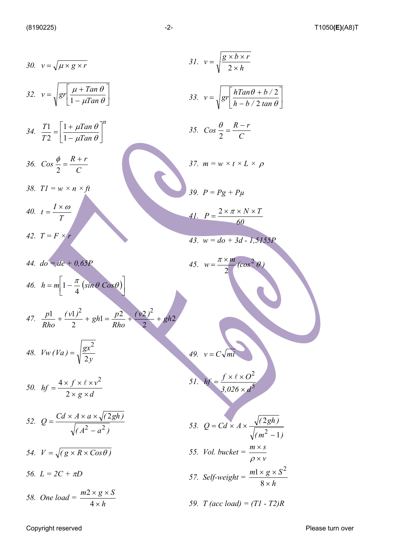30. 
$$
v = \sqrt{\mu \times g \times r}
$$
  
\n31.  $v = \sqrt{\frac{g \times b \times r}{2 \times h}}$   
\n32.  $v = \sqrt{gr \left[ \frac{\mu + Tan \theta}{1 - \mu Tan \theta} \right]}$   
\n33.  $v = \sqrt{gr \left[ \frac{hTan\theta + b/2}{h - b/2 \tan \theta} \right]}$   
\n34.  $\frac{T1}{T2} = \left[ \frac{1 + \mu Tan \theta}{1 - \mu Tan \theta} \right]^n$   
\n35.  $Cos \frac{\theta}{2} = \frac{R - r}{C}$   
\n36.  $Cos \frac{\theta}{2} = \frac{R + r}{C}$   
\n37.  $m = w \times t \times L \times \rho$   
\n38.  $T1 = w \times n \times R$   
\n40.  $t = \frac{1 \times \omega}{T}$   
\n41.  $P = \frac{2 \times \pi \times N \times T}{60}$   
\n42.  $T = F \times r$   
\n43.  $w = do + 3d - 1,3133P$   
\n44.  $do = de + 0.63P$   
\n45.  $w = \frac{\pi \times m}{2}(\cos^2 \theta)$   
\n47.  $\frac{p1}{Rho} + \frac{(v1)^2}{2} + gh1 = \frac{p2}{Rho} + \frac{(v2)^2}{2} + gh2$   
\n48.  $Vw(Va) = \sqrt{\frac{gx^2}{2y}}$   
\n49.  $v = C\sqrt{mi}$   
\n50.  $hf = \frac{4 \times f \times (\times v)^2}{2 \times g \times d}$   
\n51.  $hf = \frac{f \times (\times Q^2}{3,026 \times d^3}$   
\n52.  $Q = \frac{Cd \times A \times a \times \sqrt{(2gh)}}{\sqrt{(A^2 - a^2)}}$   
\n53.  $Q = Cd \times A \times \frac{\sqrt{(2gh)}}{\sqrt{(m^2 - 1)}}$   
\n54.  $V = \sqrt{(g \times R \times Cos\theta)}$   
\n55. Vol. bucket =  $\frac{m \times s}{\rho \times v}$   
\n56.  $L = 2C + \pi D$ 

Copyright reserved **Please turn over Please turn over**